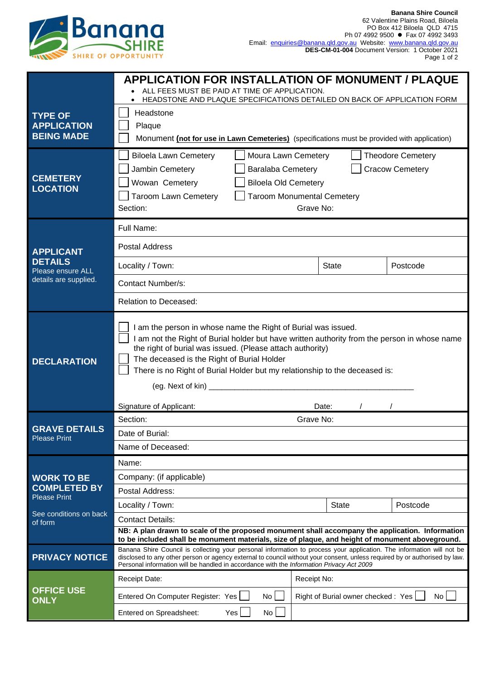

|                                                                                  | <b>APPLICATION FOR INSTALLATION OF MONUMENT / PLAQUE</b><br>ALL FEES MUST BE PAID AT TIME OF APPLICATION.                                                                                                                                                                                                                                                                            |                                           |          |
|----------------------------------------------------------------------------------|--------------------------------------------------------------------------------------------------------------------------------------------------------------------------------------------------------------------------------------------------------------------------------------------------------------------------------------------------------------------------------------|-------------------------------------------|----------|
|                                                                                  | HEADSTONE AND PLAQUE SPECIFICATIONS DETAILED ON BACK OF APPLICATION FORM                                                                                                                                                                                                                                                                                                             |                                           |          |
| <b>TYPE OF</b>                                                                   | Headstone                                                                                                                                                                                                                                                                                                                                                                            |                                           |          |
| <b>APPLICATION</b><br><b>BEING MADE</b>                                          | Plaque<br>Monument (not for use in Lawn Cemeteries) (specifications must be provided with application)<br><b>Theodore Cemetery</b><br><b>Biloela Lawn Cemetery</b><br>Moura Lawn Cemetery                                                                                                                                                                                            |                                           |          |
|                                                                                  |                                                                                                                                                                                                                                                                                                                                                                                      |                                           |          |
| <b>CEMETERY</b>                                                                  | <b>Cracow Cemetery</b><br>Jambin Cemetery<br><b>Baralaba Cemetery</b>                                                                                                                                                                                                                                                                                                                |                                           |          |
|                                                                                  | Wowan Cemetery<br><b>Biloela Old Cemetery</b>                                                                                                                                                                                                                                                                                                                                        |                                           |          |
| <b>LOCATION</b>                                                                  | <b>Taroom Lawn Cemetery</b><br><b>Taroom Monumental Cemetery</b>                                                                                                                                                                                                                                                                                                                     |                                           |          |
|                                                                                  | Grave No:<br>Section:                                                                                                                                                                                                                                                                                                                                                                |                                           |          |
|                                                                                  | Full Name:                                                                                                                                                                                                                                                                                                                                                                           |                                           |          |
| <b>APPLICANT</b><br><b>DETAILS</b><br>Please ensure ALL<br>details are supplied. | <b>Postal Address</b>                                                                                                                                                                                                                                                                                                                                                                |                                           |          |
|                                                                                  | Locality / Town:                                                                                                                                                                                                                                                                                                                                                                     | <b>State</b>                              | Postcode |
|                                                                                  | Contact Number/s:                                                                                                                                                                                                                                                                                                                                                                    |                                           |          |
|                                                                                  | Relation to Deceased:                                                                                                                                                                                                                                                                                                                                                                |                                           |          |
| <b>DECLARATION</b>                                                               | I am the person in whose name the Right of Burial was issued.<br>I am not the Right of Burial holder but have written authority from the person in whose name<br>the right of burial was issued. (Please attach authority)<br>The deceased is the Right of Burial Holder<br>There is no Right of Burial Holder but my relationship to the deceased is:<br>(eg. Next of kin) ________ |                                           |          |
| <b>GRAVE DETAILS</b><br><b>Please Print</b>                                      | Signature of Applicant:<br>Section:                                                                                                                                                                                                                                                                                                                                                  | Date:<br>Grave No:                        |          |
|                                                                                  | Date of Burial:                                                                                                                                                                                                                                                                                                                                                                      |                                           |          |
|                                                                                  | Name of Deceased:                                                                                                                                                                                                                                                                                                                                                                    |                                           |          |
|                                                                                  | Name:                                                                                                                                                                                                                                                                                                                                                                                |                                           |          |
| <b>WORK TO BE</b><br><b>COMPLETED BY</b><br><b>Please Print</b>                  | Company: (if applicable)                                                                                                                                                                                                                                                                                                                                                             |                                           |          |
|                                                                                  | Postal Address:                                                                                                                                                                                                                                                                                                                                                                      |                                           |          |
| See conditions on back<br>of form                                                | Locality / Town:                                                                                                                                                                                                                                                                                                                                                                     | <b>State</b>                              | Postcode |
|                                                                                  | <b>Contact Details:</b>                                                                                                                                                                                                                                                                                                                                                              |                                           |          |
|                                                                                  | NB: A plan drawn to scale of the proposed monument shall accompany the application. Information<br>to be included shall be monument materials, size of plaque, and height of monument aboveground.                                                                                                                                                                                   |                                           |          |
| <b>PRIVACY NOTICE</b>                                                            | Banana Shire Council is collecting your personal information to process your application. The information will not be<br>disclosed to any other person or agency external to council without your consent, unless required by or authorised by law.<br>Personal information will be handled in accordance with the Information Privacy Act 2009                                      |                                           |          |
| <b>OFFICE USE</b><br><b>ONLY</b>                                                 | <b>Receipt Date:</b>                                                                                                                                                                                                                                                                                                                                                                 | Receipt No:                               |          |
|                                                                                  | Entered On Computer Register: Yes<br>No                                                                                                                                                                                                                                                                                                                                              | Right of Burial owner checked: Yes<br>No. |          |
|                                                                                  | Entered on Spreadsheet:<br>Yes<br>No                                                                                                                                                                                                                                                                                                                                                 |                                           |          |